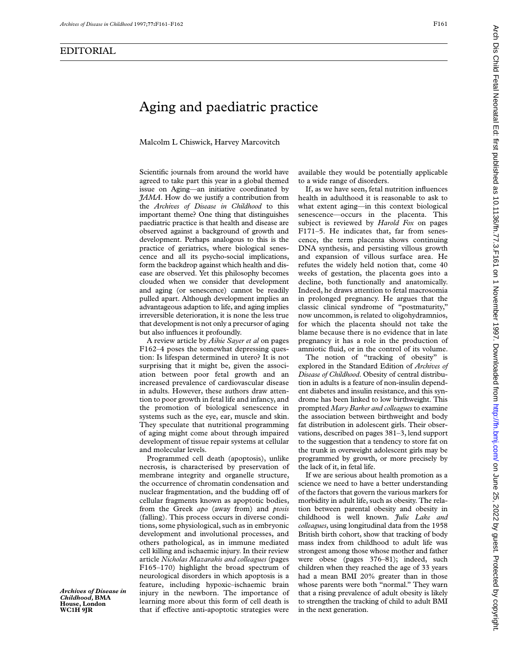Malcolm L Chiswick, Harvey Marcovitch

Scientific journals from around the world have agreed to take part this year in a global themed issue on Aging—an initiative coordinated by *JAMA*. How do we justify a contribution from the *Archives of Disease in Childhood* to this important theme? One thing that distinguishes paediatric practice is that health and disease are observed against a background of growth and development. Perhaps analogous to this is the practice of geriatrics, where biological senescence and all its psycho-social implications, form the backdrop against which health and disease are observed. Yet this philosophy becomes clouded when we consider that development and aging (or senescence) cannot be readily pulled apart. Although development implies an advantageous adaption to life, and aging implies irreversible deterioration, it is none the less true that development is not only a precursor of aging but also influences it profoundly.

A review article by *Aihie Sayer et al* on pages F162–4 poses the somewhat depressing question: Is lifespan determined in utero? It is not surprising that it might be, given the association between poor fetal growth and an increased prevalence of cardiovascular disease in adults. However, these authors draw attention to poor growth in fetal life and infancy, and the promotion of biological senescence in systems such as the eye, ear, muscle and skin. They speculate that nutritional programming of aging might come about through impaired development of tissue repair systems at cellular and molecular levels.

Programmed cell death (apoptosis), unlike necrosis, is characterised by preservation of membrane integrity and organelle structure, the occurrence of chromatin condensation and nuclear fragmentation, and the budding off of cellular fragments known as apoptotic bodies, from the Greek *apo* (away from) and *ptosis* (falling). This process occurs in diverse conditions, some physiological, such as in embryonic development and involutional processes, and others pathological, as in immune mediated cell killing and ischaemic injury. In their review article *Nicholas Mazarakis and colleagues* (pages F165–170) highlight the broad spectrum of neurological disorders in which apoptosis is a feature, including hypoxic–ischaemic brain injury in the newborn. The importance of learning more about this form of cell death is that if effective anti-apoptotic strategies were

available they would be potentially applicable to a wide range of disorders.

If, as we have seen, fetal nutrition influences health in adulthood it is reasonable to ask to what extent aging—in this context biological senescence—occurs in the placenta. This subject is reviewed by *Harold Fox* on pages F171–5. He indicates that, far from senescence, the term placenta shows continuing DNA synthesis, and persisting villous growth and expansion of villous surface area. He refutes the widely held notion that, come 40 weeks of gestation, the placenta goes into a decline, both functionally and anatomically. Indeed, he draws attention to fetal macrosomia in prolonged pregnancy. He argues that the classic clinical syndrome of "postmaturity," now uncommon, is related to oligohydramnios, for which the placenta should not take the blame because there is no evidence that in late pregnancy it has a role in the production of amniotic fluid, or in the control of its volume.

The notion of "tracking of obesity" is explored in the Standard Edition of *Archives of Disease of Childhood*. Obesity of central distribution in adults is a feature of non-insulin dependent diabetes and insulin resistance, and this syndrome has been linked to low birthweight. This prompted *Mary Barker and colleagues* to examine the association between birthweight and body fat distribution in adolescent girls. Their observations, described on pages 381–3, lend support to the suggestion that a tendency to store fat on the trunk in overweight adolescent girls may be programmed by growth, or more precisely by the lack of it, in fetal life.

If we are serious about health promotion as a science we need to have a better understanding of the factors that govern the various markers for morbidity in adult life, such as obesity. The relation between parental obesity and obesity in childhood is well known. *Julie Lake and colleagues*, using longitudinal data from the 1958 British birth cohort, show that tracking of body mass index from childhood to adult life was strongest among those whose mother and father were obese (pages 376–81); indeed, such children when they reached the age of 33 years had a mean BMI 20% greater than in those whose parents were both "normal." They warn that a rising prevalence of adult obesity is likely to strengthen the tracking of child to adult BMI in the next generation.